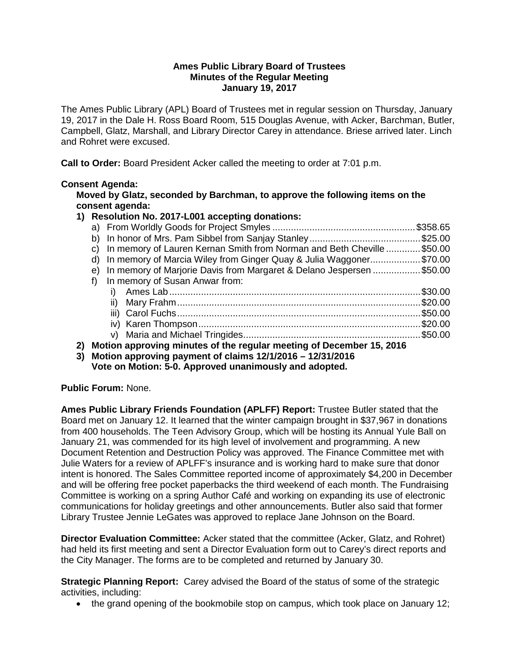### **Ames Public Library Board of Trustees Minutes of the Regular Meeting January 19, 2017**

The Ames Public Library (APL) Board of Trustees met in regular session on Thursday, January 19, 2017 in the Dale H. Ross Board Room, 515 Douglas Avenue, with Acker, Barchman, Butler, Campbell, Glatz, Marshall, and Library Director Carey in attendance. Briese arrived later. Linch and Rohret were excused.

**Call to Order:** Board President Acker called the meeting to order at 7:01 p.m.

# **Consent Agenda:**

**Moved by Glatz, seconded by Barchman, to approve the following items on the consent agenda:**

### **1) Resolution No. 2017-L001 accepting donations:**

| c) In memory of Lauren Kernan Smith from Norman and Beth Cheville \$50.00 |  |
|---------------------------------------------------------------------------|--|
| d) In memory of Marcia Wiley from Ginger Quay & Julia Waggoner\$70.00     |  |
| e) In memory of Marjorie Davis from Margaret & Delano Jespersen \$50.00   |  |
| f) In memory of Susan Anwar from:                                         |  |
|                                                                           |  |
|                                                                           |  |
|                                                                           |  |
|                                                                           |  |
|                                                                           |  |
|                                                                           |  |

- **2) Motion approving minutes of the regular meeting of December 15, 2016**
- **3) Motion approving payment of claims 12/1/2016 – 12/31/2016**

**Vote on Motion: 5-0. Approved unanimously and adopted.**

**Public Forum:** None.

**Ames Public Library Friends Foundation (APLFF) Report:** Trustee Butler stated that the Board met on January 12. It learned that the winter campaign brought in \$37,967 in donations from 400 households. The Teen Advisory Group, which will be hosting its Annual Yule Ball on January 21, was commended for its high level of involvement and programming. A new Document Retention and Destruction Policy was approved. The Finance Committee met with Julie Waters for a review of APLFF's insurance and is working hard to make sure that donor intent is honored. The Sales Committee reported income of approximately \$4,200 in December and will be offering free pocket paperbacks the third weekend of each month. The Fundraising Committee is working on a spring Author Café and working on expanding its use of electronic communications for holiday greetings and other announcements. Butler also said that former Library Trustee Jennie LeGates was approved to replace Jane Johnson on the Board.

**Director Evaluation Committee:** Acker stated that the committee (Acker, Glatz, and Rohret) had held its first meeting and sent a Director Evaluation form out to Carey's direct reports and the City Manager. The forms are to be completed and returned by January 30.

**Strategic Planning Report:** Carey advised the Board of the status of some of the strategic activities, including:

• the grand opening of the bookmobile stop on campus, which took place on January 12;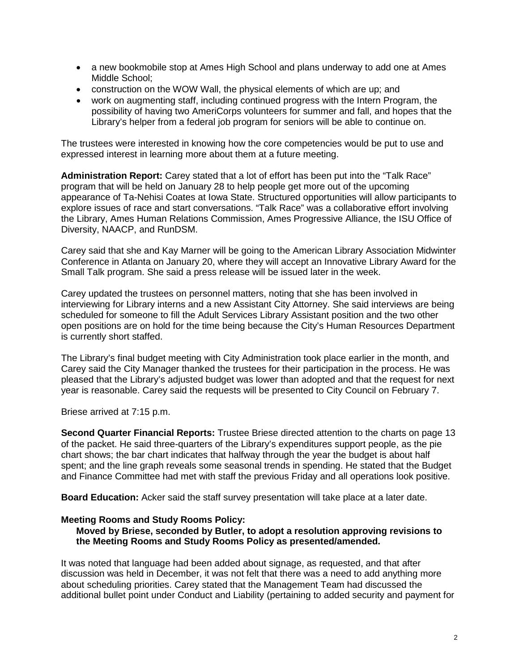- a new bookmobile stop at Ames High School and plans underway to add one at Ames Middle School;
- construction on the WOW Wall, the physical elements of which are up; and
- work on augmenting staff, including continued progress with the Intern Program, the possibility of having two AmeriCorps volunteers for summer and fall, and hopes that the Library's helper from a federal job program for seniors will be able to continue on.

The trustees were interested in knowing how the core competencies would be put to use and expressed interest in learning more about them at a future meeting.

**Administration Report:** Carey stated that a lot of effort has been put into the "Talk Race" program that will be held on January 28 to help people get more out of the upcoming appearance of Ta-Nehisi Coates at Iowa State. Structured opportunities will allow participants to explore issues of race and start conversations. "Talk Race" was a collaborative effort involving the Library, Ames Human Relations Commission, Ames Progressive Alliance, the ISU Office of Diversity, NAACP, and RunDSM.

Carey said that she and Kay Marner will be going to the American Library Association Midwinter Conference in Atlanta on January 20, where they will accept an Innovative Library Award for the Small Talk program. She said a press release will be issued later in the week.

Carey updated the trustees on personnel matters, noting that she has been involved in interviewing for Library interns and a new Assistant City Attorney. She said interviews are being scheduled for someone to fill the Adult Services Library Assistant position and the two other open positions are on hold for the time being because the City's Human Resources Department is currently short staffed.

The Library's final budget meeting with City Administration took place earlier in the month, and Carey said the City Manager thanked the trustees for their participation in the process. He was pleased that the Library's adjusted budget was lower than adopted and that the request for next year is reasonable. Carey said the requests will be presented to City Council on February 7.

Briese arrived at 7:15 p.m.

**Second Quarter Financial Reports:** Trustee Briese directed attention to the charts on page 13 of the packet. He said three-quarters of the Library's expenditures support people, as the pie chart shows; the bar chart indicates that halfway through the year the budget is about half spent; and the line graph reveals some seasonal trends in spending. He stated that the Budget and Finance Committee had met with staff the previous Friday and all operations look positive.

**Board Education:** Acker said the staff survey presentation will take place at a later date.

# **Meeting Rooms and Study Rooms Policy:**

### **Moved by Briese, seconded by Butler, to adopt a resolution approving revisions to the Meeting Rooms and Study Rooms Policy as presented/amended.**

It was noted that language had been added about signage, as requested, and that after discussion was held in December, it was not felt that there was a need to add anything more about scheduling priorities. Carey stated that the Management Team had discussed the additional bullet point under Conduct and Liability (pertaining to added security and payment for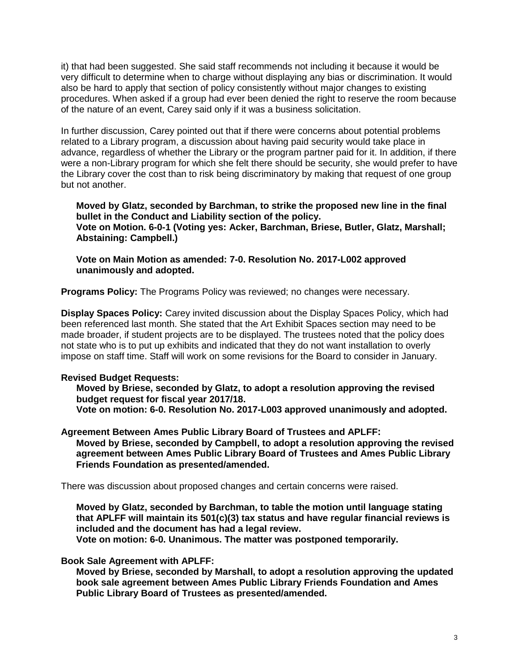it) that had been suggested. She said staff recommends not including it because it would be very difficult to determine when to charge without displaying any bias or discrimination. It would also be hard to apply that section of policy consistently without major changes to existing procedures. When asked if a group had ever been denied the right to reserve the room because of the nature of an event, Carey said only if it was a business solicitation.

In further discussion, Carey pointed out that if there were concerns about potential problems related to a Library program, a discussion about having paid security would take place in advance, regardless of whether the Library or the program partner paid for it. In addition, if there were a non-Library program for which she felt there should be security, she would prefer to have the Library cover the cost than to risk being discriminatory by making that request of one group but not another.

**Moved by Glatz, seconded by Barchman, to strike the proposed new line in the final bullet in the Conduct and Liability section of the policy. Vote on Motion. 6-0-1 (Voting yes: Acker, Barchman, Briese, Butler, Glatz, Marshall; Abstaining: Campbell.)** 

**Vote on Main Motion as amended: 7-0. Resolution No. 2017-L002 approved unanimously and adopted.**

**Programs Policy:** The Programs Policy was reviewed; no changes were necessary.

**Display Spaces Policy:** Carey invited discussion about the Display Spaces Policy, which had been referenced last month. She stated that the Art Exhibit Spaces section may need to be made broader, if student projects are to be displayed. The trustees noted that the policy does not state who is to put up exhibits and indicated that they do not want installation to overly impose on staff time. Staff will work on some revisions for the Board to consider in January.

# **Revised Budget Requests:**

**Moved by Briese, seconded by Glatz, to adopt a resolution approving the revised budget request for fiscal year 2017/18. Vote on motion: 6-0. Resolution No. 2017-L003 approved unanimously and adopted.**

**Agreement Between Ames Public Library Board of Trustees and APLFF: Moved by Briese, seconded by Campbell, to adopt a resolution approving the revised agreement between Ames Public Library Board of Trustees and Ames Public Library Friends Foundation as presented/amended.**

There was discussion about proposed changes and certain concerns were raised.

**Moved by Glatz, seconded by Barchman, to table the motion until language stating that APLFF will maintain its 501(c)(3) tax status and have regular financial reviews is included and the document has had a legal review.**

**Vote on motion: 6-0. Unanimous. The matter was postponed temporarily.**

#### **Book Sale Agreement with APLFF:**

**Moved by Briese, seconded by Marshall, to adopt a resolution approving the updated book sale agreement between Ames Public Library Friends Foundation and Ames Public Library Board of Trustees as presented/amended.**